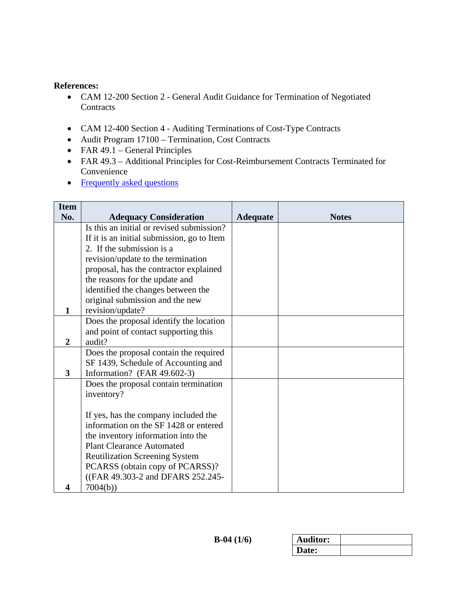### **References:**

- CAM 12-200 Section 2 General Audit Guidance for Termination of Negotiated **Contracts**
- CAM 12-400 Section 4 Auditing Terminations of Cost-Type Contracts
- Audit Program 17100 Termination, Cost Contracts
- FAR  $49.1$  General Principles
- FAR 49.3 Additional Principles for Cost-Reimbursement Contracts Terminated for Convenience
- [Frequently asked questions](#page-4-0)

| <b>Item</b>             |                                                                                                                                                                                                    |                 |              |
|-------------------------|----------------------------------------------------------------------------------------------------------------------------------------------------------------------------------------------------|-----------------|--------------|
| No.                     | <b>Adequacy Consideration</b>                                                                                                                                                                      | <b>Adequate</b> | <b>Notes</b> |
|                         | Is this an initial or revised submission?                                                                                                                                                          |                 |              |
|                         | If it is an initial submission, go to Item                                                                                                                                                         |                 |              |
|                         | 2. If the submission is a                                                                                                                                                                          |                 |              |
|                         | revision/update to the termination                                                                                                                                                                 |                 |              |
|                         | proposal, has the contractor explained                                                                                                                                                             |                 |              |
|                         | the reasons for the update and                                                                                                                                                                     |                 |              |
|                         | identified the changes between the                                                                                                                                                                 |                 |              |
|                         | original submission and the new                                                                                                                                                                    |                 |              |
| 1                       | revision/update?                                                                                                                                                                                   |                 |              |
|                         | Does the proposal identify the location                                                                                                                                                            |                 |              |
|                         | and point of contact supporting this                                                                                                                                                               |                 |              |
| $\overline{2}$          | audit?                                                                                                                                                                                             |                 |              |
|                         | Does the proposal contain the required                                                                                                                                                             |                 |              |
|                         | SF 1439, Schedule of Accounting and                                                                                                                                                                |                 |              |
| $\overline{\mathbf{3}}$ | Information? (FAR 49.602-3)                                                                                                                                                                        |                 |              |
|                         | Does the proposal contain termination                                                                                                                                                              |                 |              |
|                         | inventory?                                                                                                                                                                                         |                 |              |
|                         |                                                                                                                                                                                                    |                 |              |
|                         | If yes, has the company included the<br>information on the SF 1428 or entered                                                                                                                      |                 |              |
|                         |                                                                                                                                                                                                    |                 |              |
|                         |                                                                                                                                                                                                    |                 |              |
|                         |                                                                                                                                                                                                    |                 |              |
|                         |                                                                                                                                                                                                    |                 |              |
|                         |                                                                                                                                                                                                    |                 |              |
|                         |                                                                                                                                                                                                    |                 |              |
| 4                       | the inventory information into the<br><b>Plant Clearance Automated</b><br><b>Reutilization Screening System</b><br>PCARSS (obtain copy of PCARSS)?<br>((FAR 49.303-2 and DFARS 252.245-<br>7004(b) |                 |              |

| <b>Auditor:</b> |  |
|-----------------|--|
| <b>Date:</b>    |  |
|                 |  |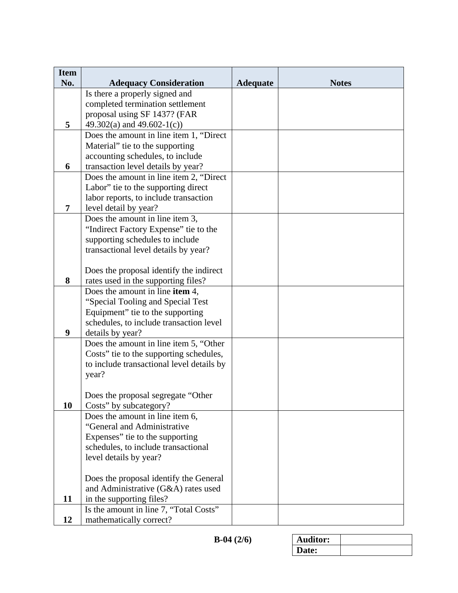| <b>Item</b> |                                                              |                 |              |
|-------------|--------------------------------------------------------------|-----------------|--------------|
| No.         | <b>Adequacy Consideration</b>                                | <b>Adequate</b> | <b>Notes</b> |
|             | Is there a properly signed and                               |                 |              |
|             | completed termination settlement                             |                 |              |
|             | proposal using SF 1437? (FAR                                 |                 |              |
| 5           | 49.302(a) and $49.602-1(c)$                                  |                 |              |
|             | Does the amount in line item 1, "Direct"                     |                 |              |
|             | Material" tie to the supporting                              |                 |              |
|             | accounting schedules, to include                             |                 |              |
| 6           | transaction level details by year?                           |                 |              |
|             | Does the amount in line item 2, "Direct"                     |                 |              |
|             | Labor" tie to the supporting direct                          |                 |              |
|             | labor reports, to include transaction                        |                 |              |
| 7           | level detail by year?                                        |                 |              |
|             | Does the amount in line item 3,                              |                 |              |
|             | "Indirect Factory Expense" tie to the                        |                 |              |
|             | supporting schedules to include                              |                 |              |
|             | transactional level details by year?                         |                 |              |
|             |                                                              |                 |              |
|             | Does the proposal identify the indirect                      |                 |              |
| 8           | rates used in the supporting files?                          |                 |              |
|             | Does the amount in line item 4,                              |                 |              |
|             | "Special Tooling and Special Test                            |                 |              |
|             | Equipment" tie to the supporting                             |                 |              |
|             | schedules, to include transaction level                      |                 |              |
| 9           | details by year?                                             |                 |              |
|             | Does the amount in line item 5, "Other                       |                 |              |
|             | Costs" tie to the supporting schedules,                      |                 |              |
|             | to include transactional level details by                    |                 |              |
|             | year?                                                        |                 |              |
|             |                                                              |                 |              |
| 10          | Does the proposal segregate "Other<br>Costs" by subcategory? |                 |              |
|             | Does the amount in line item 6,                              |                 |              |
|             | "General and Administrative                                  |                 |              |
|             | Expenses" tie to the supporting                              |                 |              |
|             | schedules, to include transactional                          |                 |              |
|             | level details by year?                                       |                 |              |
|             |                                                              |                 |              |
|             | Does the proposal identify the General                       |                 |              |
|             | and Administrative (G&A) rates used                          |                 |              |
| 11          | in the supporting files?                                     |                 |              |
|             | Is the amount in line 7, "Total Costs"                       |                 |              |
| 12          | mathematically correct?                                      |                 |              |

| <b>\uditor:</b> |  |
|-----------------|--|
| Date:           |  |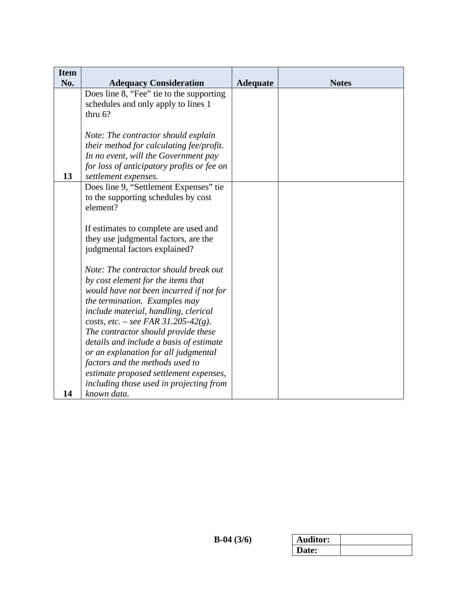| <b>Item</b> |                                            |                 |              |
|-------------|--------------------------------------------|-----------------|--------------|
| No.         | <b>Adequacy Consideration</b>              | <b>Adequate</b> | <b>Notes</b> |
|             | Does line 8, "Fee" tie to the supporting   |                 |              |
|             | schedules and only apply to lines 1        |                 |              |
|             | thru $6$ ?                                 |                 |              |
|             |                                            |                 |              |
|             | Note: The contractor should explain        |                 |              |
|             | their method for calculating fee/profit.   |                 |              |
|             | In no event, will the Government pay       |                 |              |
|             | for loss of anticipatory profits or fee on |                 |              |
| 13          | settlement expenses.                       |                 |              |
|             | Does line 9, "Settlement Expenses" tie     |                 |              |
|             | to the supporting schedules by cost        |                 |              |
|             | element?                                   |                 |              |
|             |                                            |                 |              |
|             | If estimates to complete are used and      |                 |              |
|             | they use judgmental factors, are the       |                 |              |
|             | judgmental factors explained?              |                 |              |
|             |                                            |                 |              |
|             | Note: The contractor should break out      |                 |              |
|             | by cost element for the items that         |                 |              |
|             | would have not been incurred if not for    |                 |              |
|             | the termination. Examples may              |                 |              |
|             | include material, handling, clerical       |                 |              |
|             | costs, etc. – see FAR 31.205-42(g).        |                 |              |
|             | The contractor should provide these        |                 |              |
|             | details and include a basis of estimate    |                 |              |
|             | or an explanation for all judgmental       |                 |              |
|             | factors and the methods used to            |                 |              |
|             | estimate proposed settlement expenses,     |                 |              |
|             | including those used in projecting from    |                 |              |
| 14          | known data.                                |                 |              |

| <b>Auditor:</b> |  |
|-----------------|--|
| Date:           |  |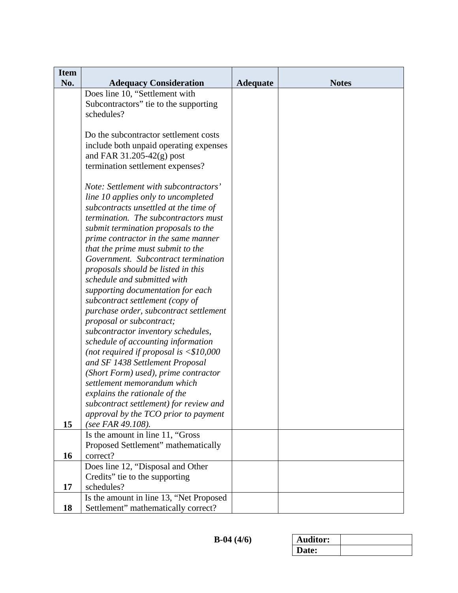| <b>Item</b> |                                                                          |                 |              |
|-------------|--------------------------------------------------------------------------|-----------------|--------------|
| No.         | <b>Adequacy Consideration</b><br>Does line 10, "Settlement with          | <b>Adequate</b> | <b>Notes</b> |
|             | Subcontractors" tie to the supporting                                    |                 |              |
|             | schedules?                                                               |                 |              |
|             |                                                                          |                 |              |
|             | Do the subcontractor settlement costs                                    |                 |              |
|             | include both unpaid operating expenses                                   |                 |              |
|             | and FAR $31.205-42(g)$ post                                              |                 |              |
|             | termination settlement expenses?                                         |                 |              |
|             |                                                                          |                 |              |
|             | Note: Settlement with subcontractors'                                    |                 |              |
|             | line 10 applies only to uncompleted                                      |                 |              |
|             | subcontracts unsettled at the time of                                    |                 |              |
|             | termination. The subcontractors must                                     |                 |              |
|             | submit termination proposals to the                                      |                 |              |
|             | prime contractor in the same manner                                      |                 |              |
|             | that the prime must submit to the<br>Government. Subcontract termination |                 |              |
|             |                                                                          |                 |              |
|             | proposals should be listed in this                                       |                 |              |
|             | schedule and submitted with<br>supporting documentation for each         |                 |              |
|             | subcontract settlement (copy of                                          |                 |              |
|             | purchase order, subcontract settlement                                   |                 |              |
|             | proposal or subcontract;                                                 |                 |              |
|             | subcontractor inventory schedules,                                       |                 |              |
|             | schedule of accounting information                                       |                 |              |
|             | (not required if proposal is $<$ \$10,000                                |                 |              |
|             | and SF 1438 Settlement Proposal                                          |                 |              |
|             | (Short Form) used), prime contractor                                     |                 |              |
|             | settlement memorandum which                                              |                 |              |
|             | explains the rationale of the                                            |                 |              |
|             | subcontract settlement) for review and                                   |                 |              |
|             | approval by the TCO prior to payment                                     |                 |              |
| 15          | (see FAR 49.108).                                                        |                 |              |
|             | Is the amount in line 11, "Gross                                         |                 |              |
|             | Proposed Settlement" mathematically                                      |                 |              |
| 16          | correct?                                                                 |                 |              |
|             | Does line 12, "Disposal and Other                                        |                 |              |
| 17          | Credits" tie to the supporting<br>schedules?                             |                 |              |
|             | Is the amount in line 13, "Net Proposed                                  |                 |              |
| 18          | Settlement" mathematically correct?                                      |                 |              |

| Auditor: |  |
|----------|--|
| Date:    |  |
|          |  |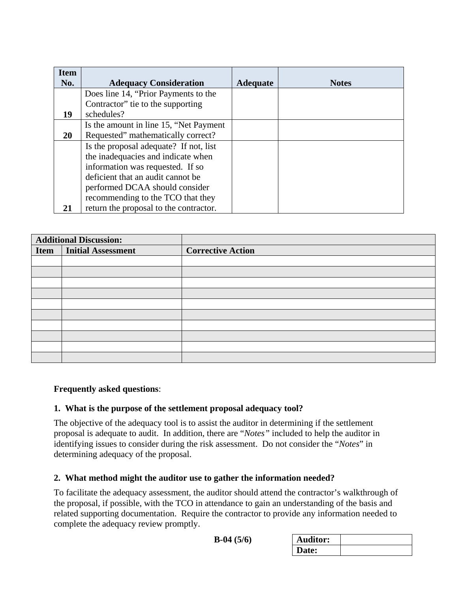| <b>Item</b> |                                         |                 |              |
|-------------|-----------------------------------------|-----------------|--------------|
| No.         | <b>Adequacy Consideration</b>           | <b>Adequate</b> | <b>Notes</b> |
|             | Does line 14, "Prior Payments to the    |                 |              |
|             | Contractor" tie to the supporting       |                 |              |
| 19          | schedules?                              |                 |              |
|             | Is the amount in line 15, "Net Payment" |                 |              |
| 20          | Requested" mathematically correct?      |                 |              |
|             | Is the proposal adequate? If not, list  |                 |              |
|             | the inadequacies and indicate when      |                 |              |
|             | information was requested. If so        |                 |              |
|             | deficient that an audit cannot be       |                 |              |
|             | performed DCAA should consider          |                 |              |
|             | recommending to the TCO that they       |                 |              |
|             | return the proposal to the contractor.  |                 |              |

| <b>Additional Discussion:</b> |                           |                          |
|-------------------------------|---------------------------|--------------------------|
| Item                          | <b>Initial Assessment</b> | <b>Corrective Action</b> |
|                               |                           |                          |
|                               |                           |                          |
|                               |                           |                          |
|                               |                           |                          |
|                               |                           |                          |
|                               |                           |                          |
|                               |                           |                          |
|                               |                           |                          |
|                               |                           |                          |
|                               |                           |                          |

## <span id="page-4-0"></span>**Frequently asked questions**:

#### **1. What is the purpose of the settlement proposal adequacy tool?**

The objective of the adequacy tool is to assist the auditor in determining if the settlement proposal is adequate to audit. In addition, there are "*Notes"* included to help the auditor in identifying issues to consider during the risk assessment. Do not consider the "*Notes*" in determining adequacy of the proposal.

#### **2. What method might the auditor use to gather the information needed?**

To facilitate the adequacy assessment, the auditor should attend the contractor's walkthrough of the proposal, if possible, with the TCO in attendance to gain an understanding of the basis and related supporting documentation. Require the contractor to provide any information needed to complete the adequacy review promptly.

| $B-04(5/6)$ |  |
|-------------|--|
|-------------|--|

| $B-04(5/6)$ | <b>Auditor:</b> |  |
|-------------|-----------------|--|
|             | Date:           |  |